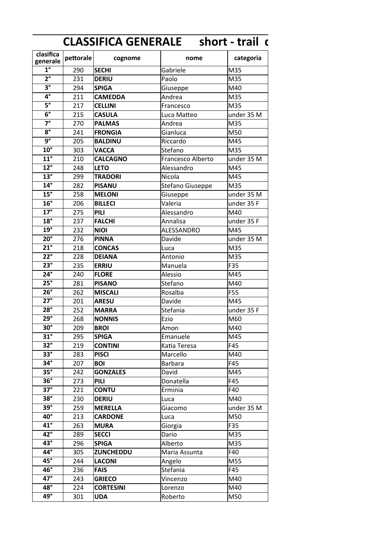|                             |           |                  | <b>CLASSIFICA GENERALE</b> short - trail c |            |
|-----------------------------|-----------|------------------|--------------------------------------------|------------|
| clasifica<br>generale       | pettorale | cognome          | nome                                       | categoria  |
| $\overline{1^{\circ}}$      | 290       | <b>SECHI</b>     | Gabriele                                   | M35        |
| $\overline{2^{\circ}}$      | 231       | <b>DERIU</b>     | Paolo                                      | M35        |
| $3^{\circ}$                 | 294       | <b>SPIGA</b>     | Giuseppe                                   | M40        |
| $\overline{4^{\circ}}$      | 211       | <b>CAMEDDA</b>   | Andrea                                     | M35        |
| $\overline{5^\circ}$        | 217       | <b>CELLINI</b>   | Francesco                                  | M35        |
| $\overline{6^{\circ}}$      | 215       | <b>CASULA</b>    | Luca Matteo                                | under 35 M |
| $\overline{7}$ <sup>o</sup> | 270       | <b>PALMAS</b>    | Andrea                                     | M35        |
| $\overline{8^\circ}$        | 241       | <b>FRONGIA</b>   | Gianluca                                   | M50        |
| $\overline{9^{\circ}}$      | 205       | <b>BALDINU</b>   | Riccardo                                   | M45        |
| $10^{\circ}$                | 303       | <b>VACCA</b>     | Stefano                                    | M35        |
| $11^{\circ}$                | 210       | <b>CALCAGNO</b>  | Francesco Alberto                          | under 35 M |
| $12^{\circ}$                | 248       | <b>LETO</b>      | Alessandro                                 | M45        |
| $13^\circ$                  | 299       | <b>TRADORI</b>   | Nicola                                     | M45        |
| $14^\circ$                  | 282       | <b>PISANU</b>    | Stefano Giuseppe                           | M35        |
| $15^\circ$                  | 258       | <b>MELONI</b>    | Giuseppe                                   | under 35 M |
| $16^\circ$                  | 206       | <b>BILLECI</b>   | Valeria                                    | under 35 F |
| $17^\circ$                  | 275       | PILI             | Alessandro                                 | M40        |
| $18^\circ$                  | 237       | <b>FALCHI</b>    | Annalisa                                   | under 35 F |
| $19^\circ$                  | 232       | <b>NIOI</b>      | ALESSANDRO                                 | M45        |
| $20^\circ$                  | 276       | <b>PINNA</b>     | Davide                                     | under 35 M |
| $\overline{21^\circ}$       | 218       | <b>CONCAS</b>    | Luca                                       | M35        |
| $\overline{22^{\circ}}$     | 228       | <b>DEIANA</b>    | Antonio                                    | M35        |
| $23^\circ$                  | 235       | <b>ERRIU</b>     | Manuela                                    | F35        |
| $24^\circ$                  | 240       | <b>FLORE</b>     | Alessio                                    | M45        |
| $25^\circ$                  | 281       | <b>PISANO</b>    | Stefano                                    | M40        |
| $26^\circ$                  | 262       | <b>MISCALI</b>   | Rosalba                                    | <b>F55</b> |
| $\overline{27^\circ}$       | 201       | <b>ARESU</b>     | Davide                                     | M45        |
| $\overline{28^\circ}$       | 252       | <b>MARRA</b>     | Stefania                                   | under 35 F |
| $29^\circ$                  | 268       | <b>NONNIS</b>    | Ezio                                       | M60        |
| $30^\circ$                  | 209       | <b>BROI</b>      | Amon                                       | M40        |
| $31^\circ$                  | 295       | <b>SPIGA</b>     | Emanuele                                   | M45        |
| $\overline{32^{\circ}}$     | 219       | <b>CONTINI</b>   | Katia Teresa                               | F45        |
| $\overline{33^{\circ}}$     | 283       | <b>PISCI</b>     | Marcello                                   | M40        |
| $34^\circ$                  | 207       | <b>BOI</b>       | <b>Barbara</b>                             | F45        |
| $35^\circ$                  | 242       | <b>GONZALES</b>  | David                                      | M45        |
| $36^\circ$                  | 273       | <b>PILI</b>      | Donatella                                  | F45        |
| $\overline{37^\circ}$       | 221       | <b>CONTU</b>     | Erminia                                    | F40        |
| $\overline{38^\circ}$       | 230       | <b>DERIU</b>     | Luca                                       | M40        |
| $39^\circ$                  | 259       | <b>MERELLA</b>   | Giacomo                                    | under 35 M |
| $40^\circ$                  | 213       | <b>CARDONE</b>   | Luca                                       | M50        |
| $\overline{41^{\circ}}$     | 263       | <b>MURA</b>      | Giorgia                                    | F35        |
| $42^\circ$                  | 289       | <b>SECCI</b>     | Dario                                      | M35        |
| $43^\circ$                  | 296       | <b>SPIGA</b>     | Alberto                                    | M35        |
| $\overline{44^{\circ}}$     | 305       | <b>ZUNCHEDDU</b> | Maria Assunta                              | F40        |
| $\overline{45^\circ}$       | 244       | <b>LACONI</b>    | Angelo                                     | M55        |
| $46^\circ$                  | 236       | <b>FAIS</b>      | Stefania                                   | F45        |
| $47^\circ$                  | 243       | <b>GRIECO</b>    | Vincenzo                                   | M40        |
| $48^\circ$                  | 224       | <b>CORTESINI</b> | Lorenzo                                    | M40        |
| $49^\circ$                  | 301       | <b>UDA</b>       | Roberto                                    | M50        |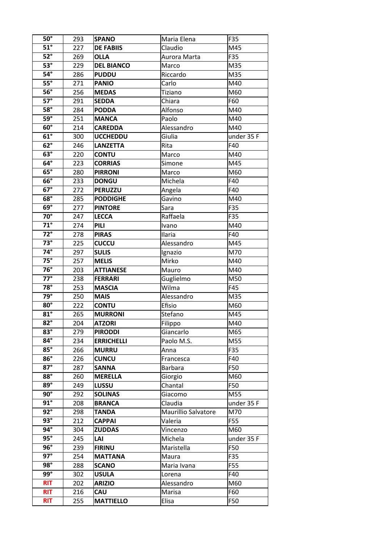| $50^\circ$              | 293 | <b>SPANO</b>      | Maria Elena         | F35        |
|-------------------------|-----|-------------------|---------------------|------------|
| $51^\circ$              | 227 | <b>DE FABIIS</b>  | Claudio             | M45        |
| $52^\circ$              | 269 | <b>OLLA</b>       | Aurora Marta        | F35        |
| $\overline{53^\circ}$   | 229 | <b>DEL BIANCO</b> | Marco               | M35        |
| $54^\circ$              | 286 | <b>PUDDU</b>      | Riccardo            | M35        |
| $\overline{55^\circ}$   | 271 | <b>PANIO</b>      | Carlo               | M40        |
| $\overline{56^\circ}$   | 256 | <b>MEDAS</b>      | Tiziano             | M60        |
| $\overline{57^\circ}$   | 291 | <b>SEDDA</b>      | Chiara              | F60        |
| $58^\circ$              | 284 | <b>PODDA</b>      | Alfonso             | M40        |
| $\overline{59^\circ}$   | 251 | <b>MANCA</b>      | Paolo               | M40        |
| $60^\circ$              |     |                   | Alessandro          | M40        |
| $61^\circ$              | 214 | <b>CAREDDA</b>    |                     |            |
|                         | 300 | <b>UCCHEDDU</b>   | Giulia              | under 35 F |
| $62^\circ$              | 246 | <b>LANZETTA</b>   | Rita                | F40        |
| $\overline{63^\circ}$   | 220 | <b>CONTU</b>      | Marco               | M40        |
| $\overline{64^\circ}$   | 223 | <b>CORRIAS</b>    | Simone              | M45        |
| $\overline{65^\circ}$   | 280 | <b>PIRRONI</b>    | Marco               | M60        |
| $66^\circ$              | 233 | <b>DONGU</b>      | Michela             | F40        |
| $\overline{67^\circ}$   | 272 | <b>PERUZZU</b>    | Angela              | F40        |
| $\overline{68^\circ}$   | 285 | <b>PODDIGHE</b>   | Gavino              | M40        |
| $\overline{69}^\circ$   | 277 | <b>PINTORE</b>    | Sara                | F35        |
| $70^\circ$              | 247 | <b>LECCA</b>      | Raffaela            | F35        |
| $\overline{71^\circ}$   | 274 | PILI              | Ivano               | M40        |
| $\overline{72^{\circ}}$ | 278 | <b>PIRAS</b>      | Ilaria              | F40        |
| $\overline{73}^\circ$   | 225 | <b>CUCCU</b>      | Alessandro          | M45        |
| $74^\circ$              | 297 | <b>SULIS</b>      | Ignazio             | M70        |
| $\overline{75^\circ}$   | 257 | <b>MELIS</b>      | Mirko               | M40        |
| $76^\circ$              | 203 | <b>ATTIANESE</b>  | Mauro               | M40        |
| $\overline{77^\circ}$   | 238 | <b>FERRARI</b>    | Guglielmo           | M50        |
| $78^\circ$              | 253 | <b>MASCIA</b>     | Wilma               | F45        |
| $79^\circ$              | 250 | <b>MAIS</b>       | Alessandro          | M35        |
| $80^\circ$              | 222 | <b>CONTU</b>      | Efisio              | M60        |
| $\overline{81^\circ}$   | 265 | <b>MURRONI</b>    | Stefano             | M45        |
| $82^\circ$              | 204 | <b>ATZORI</b>     | Filippo             | M40        |
| $83^\circ$              | 279 | <b>PIRODDI</b>    |                     | M65        |
| $84^\circ$              |     | <b>ERRICHELLI</b> | Giancarlo           |            |
| $\overline{85^\circ}$   | 234 |                   | Paolo M.S.          | M55        |
|                         | 266 | <b>MURRU</b>      | Anna                | F35        |
| $86^\circ$              | 226 | <b>CUNCU</b>      | Francesca           | F40        |
| $\overline{87^\circ}$   | 287 | <b>SANNA</b>      | <b>Barbara</b>      | F50        |
| $88^\circ$              | 260 | <b>MERELLA</b>    | Giorgio             | M60        |
| $\overline{89^\circ}$   | 249 | LUSSU             | Chantal             | F50        |
| $\overline{90^\circ}$   | 292 | <b>SOLINAS</b>    | Giacomo             | M55        |
| $\overline{91^{\circ}}$ | 208 | <b>BRANCA</b>     | Claudia             | under 35 F |
| $\overline{92^{\circ}}$ | 298 | <b>TANDA</b>      | Maurillio Salvatore | M70        |
| $\overline{93^\circ}$   | 212 | <b>CAPPAI</b>     | Valeria             | F55        |
| $94^\circ$              | 304 | <b>ZUDDAS</b>     | Vincenzo            | M60        |
| $\overline{95^\circ}$   | 245 | LAI               | Michela             | under 35 F |
| $96^\circ$              | 239 | <b>FIRINU</b>     | Maristella          | F50        |
| $\overline{97^\circ}$   | 254 | <b>MATTANA</b>    | Maura               | F35        |
| $98^\circ$              | 288 | <b>SCANO</b>      | Maria Ivana         | F55        |
| 99°                     | 302 | <b>USULA</b>      | Lorena              | F40        |
| <b>RIT</b>              | 202 | <b>ARIZIO</b>     | Alessandro          | M60        |
| <b>RIT</b>              | 216 | <b>CAU</b>        | Marisa              | F60        |
| <b>RIT</b>              | 255 | <b>MATTIELLO</b>  | Elisa               | F50        |
|                         |     |                   |                     |            |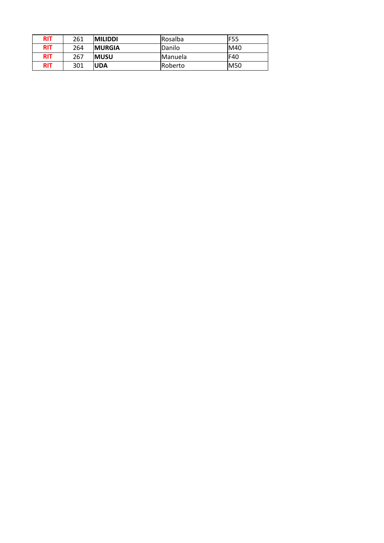| <b>RIT</b> | 261 | <b>MILIDDI</b> | Rosalba         | lF55        |
|------------|-----|----------------|-----------------|-------------|
| <b>RIT</b> | 264 | <b>IMURGIA</b> | lDanilo         | M40         |
| <b>RIT</b> | 267 | <b>IMUSU</b>   | <i>IManuela</i> | IF40        |
| <b>RIT</b> | 301 | <b>IUDA</b>    | <b>Roberto</b>  | <b>IM50</b> |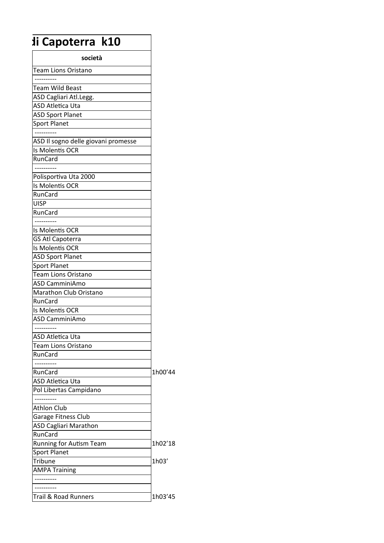## $\sqrt{11}$  Capoterra k10

| società                             |         |
|-------------------------------------|---------|
| Team Lions Oristano                 |         |
|                                     |         |
| Team Wild Beast                     |         |
| ASD Cagliari Atl.Legg.              |         |
| <b>ASD Atletica Uta</b>             |         |
| <b>ASD Sport Planet</b>             |         |
| <b>Sport Planet</b>                 |         |
|                                     |         |
| ASD Il sogno delle giovani promesse |         |
| Is Molentis OCR                     |         |
| RunCard                             |         |
|                                     |         |
| Polisportiva Uta 2000               |         |
| Is Molentis OCR                     |         |
| RunCard                             |         |
| <b>UISP</b>                         |         |
| RunCard                             |         |
|                                     |         |
| Is Molentis OCR                     |         |
| GS Atl Capoterra                    |         |
| Is Molentis OCR                     |         |
| <b>ASD Sport Planet</b>             |         |
| <b>Sport Planet</b>                 |         |
| Team Lions Oristano                 |         |
| ASD CamminiAmo                      |         |
| Marathon Club Oristano              |         |
| RunCard                             |         |
| Is Molentis OCR                     |         |
| ASD CamminiAmo                      |         |
|                                     |         |
| ASD Atletica Uta                    |         |
| <b>Team Lions Oristano</b>          |         |
| RunCard                             |         |
|                                     |         |
| RunCard                             | 1h00'44 |
| <b>ASD Atletica Uta</b>             |         |
| Pol Libertas Campidano              |         |
|                                     |         |
| <b>Athlon Club</b>                  |         |
| Garage Fitness Club                 |         |
| <b>ASD Cagliari Marathon</b>        |         |
| RunCard                             |         |
| Running for Autism Team             | 1h02'18 |
| <b>Sport Planet</b>                 |         |
| Tribune                             | 1h03'   |
| <b>AMPA Training</b>                |         |
|                                     |         |
|                                     |         |
| <b>Trail &amp; Road Runners</b>     | 1h03'45 |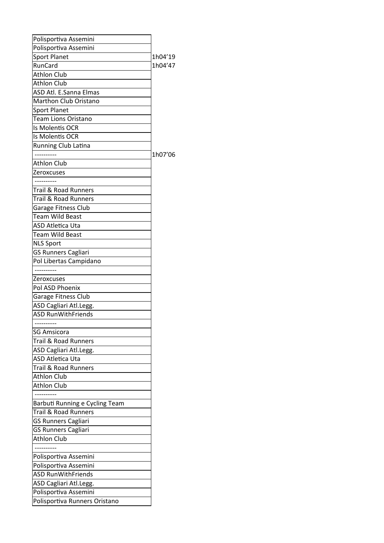| Polisportiva Assemini           |         |
|---------------------------------|---------|
| Polisportiva Assemini           |         |
| <b>Sport Planet</b>             | 1h04'19 |
| RunCard                         | 1h04'47 |
| <b>Athlon Club</b>              |         |
| <b>Athlon Club</b>              |         |
| ASD Atl. E.Sanna Elmas          |         |
| Marthon Club Oristano           |         |
| <b>Sport Planet</b>             |         |
| <b>Team Lions Oristano</b>      |         |
| Is Molentis OCR                 |         |
| Is Molentis OCR                 |         |
| Running Club Latina             |         |
|                                 | 1h07'06 |
| <b>Athlon Club</b>              |         |
| Zeroxcuses                      |         |
| ---------                       |         |
| <b>Trail &amp; Road Runners</b> |         |
| <b>Trail &amp; Road Runners</b> |         |
| Garage Fitness Club             |         |
| Team Wild Beast                 |         |
| <b>ASD Atletica Uta</b>         |         |
| Team Wild Beast                 |         |
| <b>NLS Sport</b>                |         |
| <b>GS Runners Cagliari</b>      |         |
| Pol Libertas Campidano          |         |
|                                 |         |
| Zeroxcuses                      |         |
| Pol ASD Phoenix                 |         |
| Garage Fitness Club             |         |
| ASD Cagliari Atl.Legg.          |         |
| <b>ASD RunWithFriends</b>       |         |
|                                 |         |
| <b>SG Amsicora</b>              |         |
| <b>Trail &amp; Road Runners</b> |         |
| ASD Cagliari Atl.Legg.          |         |
| <b>ASD Atletica Uta</b>         |         |
| Trail & Road Runners            |         |
| <b>Athlon Club</b>              |         |
| <b>Athlon Club</b>              |         |
|                                 |         |
|                                 |         |
| Barbuti Running e Cycling Team  |         |
| <b>Trail &amp; Road Runners</b> |         |
| <b>GS Runners Cagliari</b>      |         |
| <b>GS Runners Cagliari</b>      |         |
| <b>Athlon Club</b>              |         |
|                                 |         |
| Polisportiva Assemini           |         |
| Polisportiva Assemini           |         |
| <b>ASD RunWithFriends</b>       |         |
| ASD Cagliari Atl.Legg.          |         |
| Polisportiva Assemini           |         |
| Polisportiva Runners Oristano   |         |